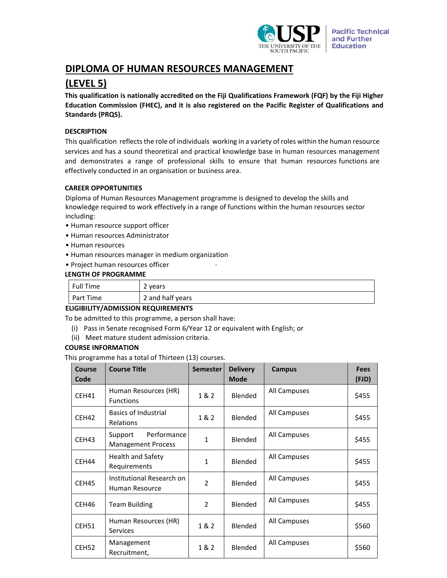

# **DIPLOMA OF HUMAN RESOURCES MANAGEMENT**

# **(LEVEL 5)**

**This qualification is nationally accredited on the Fiji Qualifications Framework (FQF) by the Fiji Higher Education Commission (FHEC), and it is also registered on the Pacific Register of Qualifications and Standards (PRQS).**

# **DESCRIPTION**

This qualification reflects the role of individuals working in a variety of roles within the human resource services and has a sound theoretical and practical knowledge base in human resources management and demonstrates a range of professional skills to ensure that human resources functions are effectively conducted in an organisation or business area.

## **CAREER OPPORTUNITIES**

Diploma of Human Resources Management programme is designed to develop the skills and knowledge required to work effectively in a range of functions within the human resources sector including:

- Human resource support officer
- Human resources Administrator
- Human resources
- Human resources manager in medium organization
- Project human resources officer ∙

# **LENGTH OF PROGRAMME**

| <b>Full Time</b> | vears "<br>▵     |
|------------------|------------------|
| Part Time        | 2 and half years |

# **ELIGIBILITY/ADMISSION REQUIREMENTS**

To be admitted to this programme, a person shall have:

- (i) Pass in Senate recognised Form 6/Year 12 or equivalent with English; or
- (ii) Meet mature student admission criteria.

## **COURSE INFORMATION**

This programme has a total of Thirteen (13) courses.

| <b>Course</b><br>Code | <b>Course Title</b>                                 | <b>Semester</b> | <b>Delivery</b><br><b>Mode</b> | <b>Campus</b> | <b>Fees</b><br>(FJD) |
|-----------------------|-----------------------------------------------------|-----------------|--------------------------------|---------------|----------------------|
| CEH41                 | Human Resources (HR)<br><b>Functions</b>            | 1 & 2           | Blended                        | All Campuses  | \$455                |
| CEH42                 | Basics of Industrial<br><b>Relations</b>            | 1 & 2           | Blended                        | All Campuses  | \$455                |
| CEH43                 | Performance<br>Support<br><b>Management Process</b> | $\mathbf{1}$    | Blended                        | All Campuses  | \$455                |
| CEH44                 | <b>Health and Safety</b><br>Requirements            | 1               | Blended                        | All Campuses  | \$455                |
| CEH45                 | Institutional Research on<br>Human Resource         | $\overline{2}$  | Blended                        | All Campuses  | \$455                |
| CEH46                 | <b>Team Building</b>                                | $\mathfrak{p}$  | Blended                        | All Campuses  | \$455                |
| CEH51                 | Human Resources (HR)<br><b>Services</b>             | 1 & 2           | Blended                        | All Campuses  | \$560                |
| CEH52                 | Management<br>Recruitment,                          | 1 & 2           | Blended                        | All Campuses  | \$560                |